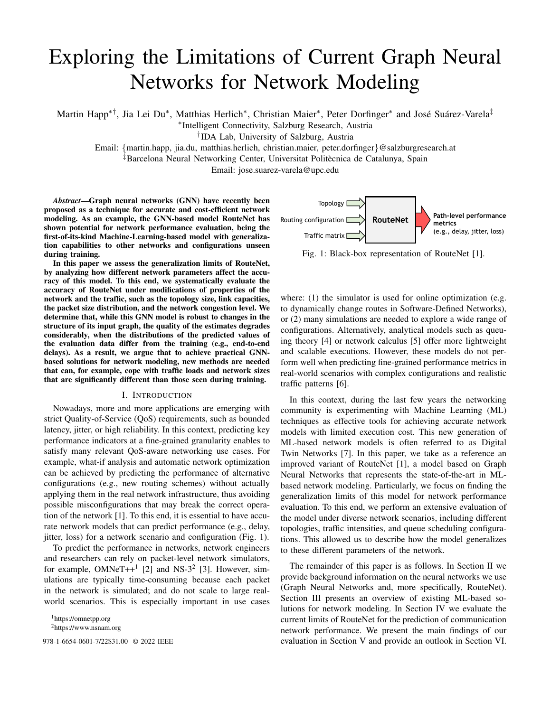# Exploring the Limitations of Current Graph Neural Networks for Network Modeling

Martin Happ\*<sup>†</sup>, Jia Lei Du\*, Matthias Herlich\*, Christian Maier\*, Peter Dorfinger\* and José Suárez-Varela<sup>‡</sup>

∗ Intelligent Connectivity, Salzburg Research, Austria

† IDA Lab, University of Salzburg, Austria

Email: {martin.happ, jia.du, matthias.herlich, christian.maier, peter.dorfinger}@salzburgresearch.at

‡Barcelona Neural Networking Center, Universitat Politecnica de Catalunya, Spain `

Email: jose.suarez-varela@upc.edu

*Abstract*—Graph neural networks (GNN) have recently been proposed as a technique for accurate and cost-efficient network modeling. As an example, the GNN-based model RouteNet has shown potential for network performance evaluation, being the first-of-its-kind Machine-Learning-based model with generalization capabilities to other networks and configurations unseen during training.

In this paper we assess the generalization limits of RouteNet, by analyzing how different network parameters affect the accuracy of this model. To this end, we systematically evaluate the accuracy of RouteNet under modifications of properties of the network and the traffic, such as the topology size, link capacities, the packet size distribution, and the network congestion level. We determine that, while this GNN model is robust to changes in the structure of its input graph, the quality of the estimates degrades considerably, when the distributions of the predicted values of the evaluation data differ from the training (e.g., end-to-end delays). As a result, we argue that to achieve practical GNNbased solutions for network modeling, new methods are needed that can, for example, cope with traffic loads and network sizes that are significantly different than those seen during training.

## I. INTRODUCTION

Nowadays, more and more applications are emerging with strict Quality-of-Service (QoS) requirements, such as bounded latency, jitter, or high reliability. In this context, predicting key performance indicators at a fine-grained granularity enables to satisfy many relevant QoS-aware networking use cases. For example, what-if analysis and automatic network optimization can be achieved by predicting the performance of alternative configurations (e.g., new routing schemes) without actually applying them in the real network infrastructure, thus avoiding possible misconfigurations that may break the correct operation of the network [1]. To this end, it is essential to have accurate network models that can predict performance (e.g., delay, jitter, loss) for a network scenario and configuration (Fig. 1).

To predict the performance in networks, network engineers and researchers can rely on packet-level network simulators, for example,  $OMNeT++<sup>1</sup>$  [2] and NS-3<sup>2</sup> [3]. However, simulations are typically time-consuming because each packet in the network is simulated; and do not scale to large realworld scenarios. This is especially important in use cases

<sup>1</sup>https://omnetpp.org <sup>2</sup>https://www.nsnam.org



Fig. 1: Black-box representation of RouteNet [1].

where: (1) the simulator is used for online optimization (e.g. to dynamically change routes in Software-Defined Networks), or (2) many simulations are needed to explore a wide range of configurations. Alternatively, analytical models such as queuing theory [4] or network calculus [5] offer more lightweight and scalable executions. However, these models do not perform well when predicting fine-grained performance metrics in real-world scenarios with complex configurations and realistic traffic patterns [6].

In this context, during the last few years the networking community is experimenting with Machine Learning (ML) techniques as effective tools for achieving accurate network models with limited execution cost. This new generation of ML-based network models is often referred to as Digital Twin Networks [7]. In this paper, we take as a reference an improved variant of RouteNet [1], a model based on Graph Neural Networks that represents the state-of-the-art in MLbased network modeling. Particularly, we focus on finding the generalization limits of this model for network performance evaluation. To this end, we perform an extensive evaluation of the model under diverse network scenarios, including different topologies, traffic intensities, and queue scheduling configurations. This allowed us to describe how the model generalizes to these different parameters of the network.

The remainder of this paper is as follows. In Section II we provide background information on the neural networks we use (Graph Neural Networks and, more specifically, RouteNet). Section III presents an overview of existing ML-based solutions for network modeling. In Section IV we evaluate the current limits of RouteNet for the prediction of communication network performance. We present the main findings of our 978-1-6654-0601-7/22\$31.00 © 2022 IEEE evaluation in Section V and provide an outlook in Section VI.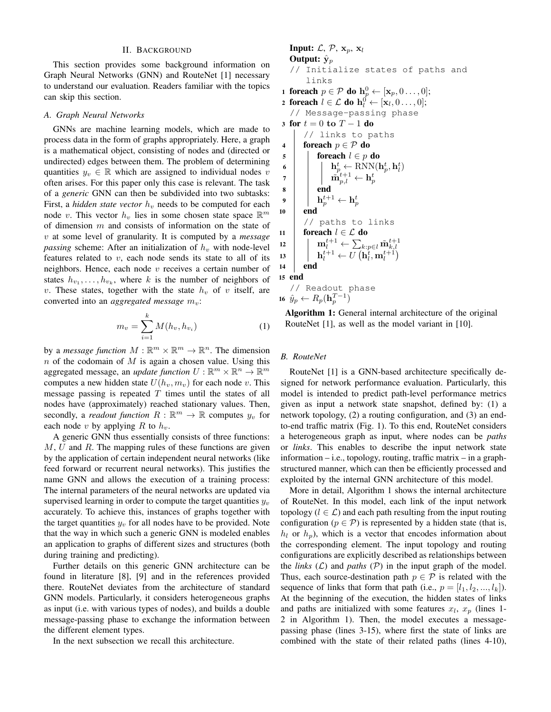## II. BACKGROUND

This section provides some background information on Graph Neural Networks (GNN) and RouteNet [1] necessary to understand our evaluation. Readers familiar with the topics can skip this section.

#### *A. Graph Neural Networks*

GNNs are machine learning models, which are made to process data in the form of graphs appropriately. Here, a graph is a mathematical object, consisting of nodes and (directed or undirected) edges between them. The problem of determining quantities  $y_v \in \mathbb{R}$  which are assigned to individual nodes v often arises. For this paper only this case is relevant. The task of a *generic* GNN can then be subdivided into two subtasks: First, a *hidden state vector*  $h<sub>v</sub>$  needs to be computed for each node v. This vector  $h_v$  lies in some chosen state space  $\mathbb{R}^m$ of dimension  $m$  and consists of information on the state of v at some level of granularity. It is computed by a *message passing* scheme: After an initialization of  $h<sub>v</sub>$  with node-level features related to  $v$ , each node sends its state to all of its neighbors. Hence, each node  $v$  receives a certain number of states  $h_{v_1}, \ldots, h_{v_k}$ , where k is the number of neighbors of v. These states, together with the state  $h_v$  of v itself, are converted into an *aggregated message*  $m_v$ :

$$
m_v = \sum_{i=1}^{k} M(h_v, h_{v_i})
$$
 (1)

by a *message function*  $M : \mathbb{R}^m \times \mathbb{R}^m \to \mathbb{R}^n$ . The dimension  $n$  of the codomain of  $M$  is again a chosen value. Using this aggregated message, an *update function*  $U : \mathbb{R}^m \times \mathbb{R}^n \to \mathbb{R}^m$ computes a new hidden state  $U(h_v, m_v)$  for each node v. This message passing is repeated  $T$  times until the states of all nodes have (approximately) reached stationary values. Then, secondly, a *readout function*  $R : \mathbb{R}^m \to \mathbb{R}$  computes  $y_v$  for each node v by applying R to  $h_v$ .

A generic GNN thus essentially consists of three functions:  $M, U$  and  $R$ . The mapping rules of these functions are given by the application of certain independent neural networks (like feed forward or recurrent neural networks). This justifies the name GNN and allows the execution of a training process: The internal parameters of the neural networks are updated via supervised learning in order to compute the target quantities  $y_v$ accurately. To achieve this, instances of graphs together with the target quantities  $y_v$  for all nodes have to be provided. Note that the way in which such a generic GNN is modeled enables an application to graphs of different sizes and structures (both during training and predicting).

Further details on this generic GNN architecture can be found in literature [8], [9] and in the references provided there. RouteNet deviates from the architecture of standard GNN models. Particularly, it considers heterogeneous graphs as input (i.e. with various types of nodes), and builds a double message-passing phase to exchange the information between the different element types.

In the next subsection we recall this architecture.

**Input:** 
$$
\mathcal{L}, \mathcal{P}, \mathbf{x}_p, \mathbf{x}_l
$$
\n**Output:**  $\hat{\mathbf{y}}_p$ \n// Initialize states of paths and links\n**1 forced**  $p \in \mathcal{P}$  **do**  $\mathbf{h}_p^0 \leftarrow [\mathbf{x}_p, 0 \ldots, 0];$ \n**2 forced**  $l \in \mathcal{L}$  **do**  $\mathbf{h}_l^0 \leftarrow [\mathbf{x}_l, 0 \ldots, 0];$ 

// Message-passing phase

3 for  $t = 0$  to  $T - 1$  do // links to paths 4 foreach  $p \in \mathcal{P}$  do 5 | foreach  $l \in p$  do  $\mathbf{b} \parallel \mathbf{b} \parallel \mathbf{h}^t_p \leftarrow \text{RNN}(\mathbf{h}^t_p, \mathbf{h}^t_l)$  $\begin{array}{ccc} \pi & | & \pi_{p,l}^{t+1} \leftarrow \mathbf{h}_p^t \end{array}$ 8 | end  $\mathbf{9} \quad | \quad \mathbf{h}^{t+1}_p \leftarrow \mathbf{h}^t_p$ 10 end // paths to links 11 foreach  $l \in \mathcal{L}$  do  $\begin{array}{l} \mathbf{n}_l^{t+1} \leftarrow \sum_{k: p \in l} \mathbf{\tilde{m}}_{k,l}^{t+1} \ \mathbf{n}_l^{t+1} \leftarrow U\left(\mathbf{h}_l^t, \mathbf{m}_l^{t+1}\right) \end{array}$ 14 end 15 end // Readout phase

16  $\hat{y}_p \leftarrow R_p(\mathbf{h}_p^{T-1})$ 

Algorithm 1: General internal architecture of the original RouteNet [1], as well as the model variant in [10].

#### *B. RouteNet*

RouteNet [1] is a GNN-based architecture specifically designed for network performance evaluation. Particularly, this model is intended to predict path-level performance metrics given as input a network state snapshot, defined by: (1) a network topology, (2) a routing configuration, and (3) an endto-end traffic matrix (Fig. 1). To this end, RouteNet considers a heterogeneous graph as input, where nodes can be *paths* or *links*. This enables to describe the input network state information – i.e., topology, routing, traffic matrix – in a graphstructured manner, which can then be efficiently processed and exploited by the internal GNN architecture of this model.

More in detail, Algorithm 1 shows the internal architecture of RouteNet. In this model, each link of the input network topology ( $l \in \mathcal{L}$ ) and each path resulting from the input routing configuration ( $p \in \mathcal{P}$ ) is represented by a hidden state (that is,  $h_l$  or  $h_p$ ), which is a vector that encodes information about the corresponding element. The input topology and routing configurations are explicitly described as relationships between the *links*  $(L)$  and *paths*  $(P)$  in the input graph of the model. Thus, each source-destination path  $p \in \mathcal{P}$  is related with the sequence of links that form that path (i.e.,  $p = [l_1, l_2, ..., l_k]$ ). At the beginning of the execution, the hidden states of links and paths are initialized with some features  $x_l$ ,  $x_p$  (lines 1-2 in Algorithm 1). Then, the model executes a messagepassing phase (lines 3-15), where first the state of links are combined with the state of their related paths (lines 4-10),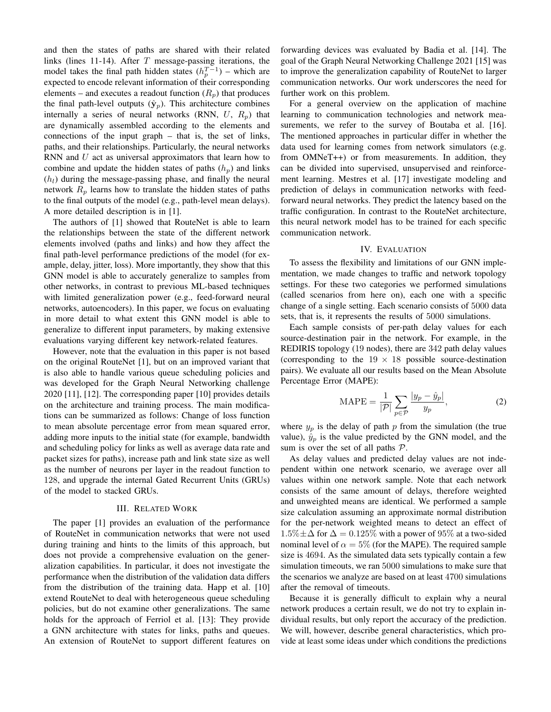and then the states of paths are shared with their related links (lines 11-14). After  $T$  message-passing iterations, the model takes the final path hidden states  $(h_p^{T-1})$  – which are expected to encode relevant information of their corresponding elements – and executes a readout function  $(R_p)$  that produces the final path-level outputs  $(\hat{y}_p)$ . This architecture combines internally a series of neural networks (RNN,  $U$ ,  $R_p$ ) that are dynamically assembled according to the elements and connections of the input graph – that is, the set of links, paths, and their relationships. Particularly, the neural networks RNN and  $U$  act as universal approximators that learn how to combine and update the hidden states of paths  $(h_p)$  and links  $(h_l)$  during the message-passing phase, and finally the neural network  $R_p$  learns how to translate the hidden states of paths to the final outputs of the model (e.g., path-level mean delays). A more detailed description is in [1].

The authors of [1] showed that RouteNet is able to learn the relationships between the state of the different network elements involved (paths and links) and how they affect the final path-level performance predictions of the model (for example, delay, jitter, loss). More importantly, they show that this GNN model is able to accurately generalize to samples from other networks, in contrast to previous ML-based techniques with limited generalization power (e.g., feed-forward neural networks, autoencoders). In this paper, we focus on evaluating in more detail to what extent this GNN model is able to generalize to different input parameters, by making extensive evaluations varying different key network-related features.

However, note that the evaluation in this paper is not based on the original RouteNet [1], but on an improved variant that is also able to handle various queue scheduling policies and was developed for the Graph Neural Networking challenge 2020 [11], [12]. The corresponding paper [10] provides details on the architecture and training process. The main modifications can be summarized as follows: Change of loss function to mean absolute percentage error from mean squared error, adding more inputs to the initial state (for example, bandwidth and scheduling policy for links as well as average data rate and packet sizes for paths), increase path and link state size as well as the number of neurons per layer in the readout function to 128, and upgrade the internal Gated Recurrent Units (GRUs) of the model to stacked GRUs.

#### III. RELATED WORK

The paper [1] provides an evaluation of the performance of RouteNet in communication networks that were not used during training and hints to the limits of this approach, but does not provide a comprehensive evaluation on the generalization capabilities. In particular, it does not investigate the performance when the distribution of the validation data differs from the distribution of the training data. Happ et al. [10] extend RouteNet to deal with heterogeneous queue scheduling policies, but do not examine other generalizations. The same holds for the approach of Ferriol et al. [13]: They provide a GNN architecture with states for links, paths and queues. An extension of RouteNet to support different features on forwarding devices was evaluated by Badia et al. [14]. The goal of the Graph Neural Networking Challenge 2021 [15] was to improve the generalization capability of RouteNet to larger communication networks. Our work underscores the need for further work on this problem.

For a general overview on the application of machine learning to communication technologies and network measurements, we refer to the survey of Boutaba et al. [16]. The mentioned approaches in particular differ in whether the data used for learning comes from network simulators (e.g. from OMNeT++) or from measurements. In addition, they can be divided into supervised, unsupervised and reinforcement learning. Mestres et al. [17] investigate modeling and prediction of delays in communication networks with feedforward neural networks. They predict the latency based on the traffic configuration. In contrast to the RouteNet architecture, this neural network model has to be trained for each specific communication network.

#### IV. EVALUATION

To assess the flexibility and limitations of our GNN implementation, we made changes to traffic and network topology settings. For these two categories we performed simulations (called scenarios from here on), each one with a specific change of a single setting. Each scenario consists of 5000 data sets, that is, it represents the results of 5000 simulations.

Each sample consists of per-path delay values for each source-destination pair in the network. For example, in the REDIRIS topology (19 nodes), there are 342 path delay values (corresponding to the  $19 \times 18$  possible source-destination pairs). We evaluate all our results based on the Mean Absolute Percentage Error (MAPE):

$$
\text{MAPE} = \frac{1}{|\mathcal{P}|} \sum_{p \in \mathcal{P}} \frac{|y_p - \hat{y}_p|}{y_p},\tag{2}
$$

where  $y_p$  is the delay of path p from the simulation (the true value),  $\hat{y}_p$  is the value predicted by the GNN model, and the sum is over the set of all paths  $P$ .

As delay values and predicted delay values are not independent within one network scenario, we average over all values within one network sample. Note that each network consists of the same amount of delays, therefore weighted and unweighted means are identical. We performed a sample size calculation assuming an approximate normal distribution for the per-network weighted means to detect an effect of  $1.5\% \pm \Delta$  for  $\Delta = 0.125\%$  with a power of 95% at a two-sided nominal level of  $\alpha = 5\%$  (for the MAPE). The required sample size is 4694. As the simulated data sets typically contain a few simulation timeouts, we ran 5000 simulations to make sure that the scenarios we analyze are based on at least 4700 simulations after the removal of timeouts.

Because it is generally difficult to explain why a neural network produces a certain result, we do not try to explain individual results, but only report the accuracy of the prediction. We will, however, describe general characteristics, which provide at least some ideas under which conditions the predictions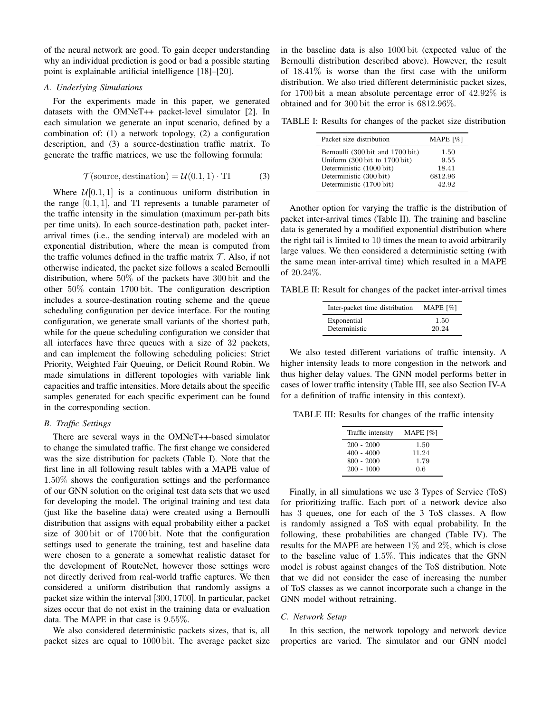of the neural network are good. To gain deeper understanding why an individual prediction is good or bad a possible starting point is explainable artificial intelligence [18]–[20].

#### *A. Underlying Simulations*

For the experiments made in this paper, we generated datasets with the OMNeT++ packet-level simulator [2]. In each simulation we generate an input scenario, defined by a combination of: (1) a network topology, (2) a configuration description, and (3) a source-destination traffic matrix. To generate the traffic matrices, we use the following formula:

$$
\mathcal{T}(\text{source, destination}) = \mathcal{U}(0.1, 1) \cdot \text{TI} \tag{3}
$$

Where  $\mathcal{U}[0.1, 1]$  is a continuous uniform distribution in the range  $[0.1, 1]$ , and TI represents a tunable parameter of the traffic intensity in the simulation (maximum per-path bits per time units). In each source-destination path, packet interarrival times (i.e., the sending interval) are modeled with an exponential distribution, where the mean is computed from the traffic volumes defined in the traffic matrix  $\mathcal T$ . Also, if not otherwise indicated, the packet size follows a scaled Bernoulli distribution, where 50% of the packets have 300 bit and the other 50% contain 1700 bit. The configuration description includes a source-destination routing scheme and the queue scheduling configuration per device interface. For the routing configuration, we generate small variants of the shortest path, while for the queue scheduling configuration we consider that all interfaces have three queues with a size of 32 packets, and can implement the following scheduling policies: Strict Priority, Weighted Fair Queuing, or Deficit Round Robin. We made simulations in different topologies with variable link capacities and traffic intensities. More details about the specific samples generated for each specific experiment can be found in the corresponding section.

#### *B. Traffic Settings*

There are several ways in the OMNeT++-based simulator to change the simulated traffic. The first change we considered was the size distribution for packets (Table I). Note that the first line in all following result tables with a MAPE value of 1.50% shows the configuration settings and the performance of our GNN solution on the original test data sets that we used for developing the model. The original training and test data (just like the baseline data) were created using a Bernoulli distribution that assigns with equal probability either a packet size of 300 bit or of 1700 bit. Note that the configuration settings used to generate the training, test and baseline data were chosen to a generate a somewhat realistic dataset for the development of RouteNet, however those settings were not directly derived from real-world traffic captures. We then considered a uniform distribution that randomly assigns a packet size within the interval [300, 1700]. In particular, packet sizes occur that do not exist in the training data or evaluation data. The MAPE in that case is 9.55%.

We also considered deterministic packets sizes, that is, all packet sizes are equal to 1000 bit. The average packet size

in the baseline data is also 1000 bit (expected value of the Bernoulli distribution described above). However, the result of  $18.41\%$  is worse than the first case with the uniform distribution. We also tried different deterministic packet sizes, for 1700 bit a mean absolute percentage error of 42.92% is obtained and for 300 bit the error is 6812.96%.

TABLE I: Results for changes of the packet size distribution

| Packet size distribution         | MAPE $[\%]$ |
|----------------------------------|-------------|
| Bernoulli (300 bit and 1700 bit) | 1.50        |
| Uniform (300 bit to 1700 bit)    | 9.55        |
| Deterministic (1000 bit)         | 18.41       |
| Deterministic (300 bit)          | 6812.96     |
| Deterministic (1700 bit)         | 42.92       |
|                                  |             |

Another option for varying the traffic is the distribution of packet inter-arrival times (Table II). The training and baseline data is generated by a modified exponential distribution where the right tail is limited to 10 times the mean to avoid arbitrarily large values. We then considered a deterministic setting (with the same mean inter-arrival time) which resulted in a MAPE of 20.24%.

TABLE II: Result for changes of the packet inter-arrival times

| Inter-packet time distribution | MAPE $[\%]$ |
|--------------------------------|-------------|
| Exponential                    | 1.50        |
| Deterministic                  | 20.24       |

We also tested different variations of traffic intensity. A higher intensity leads to more congestion in the network and thus higher delay values. The GNN model performs better in cases of lower traffic intensity (Table III, see also Section IV-A for a definition of traffic intensity in this context).

TABLE III: Results for changes of the traffic intensity

| Traffic intensity | MAPE [%] |
|-------------------|----------|
| $200 - 2000$      | 1.50     |
| $400 - 4000$      | 11.24    |
| $800 - 2000$      | 1.79     |
| $200 - 1000$      | 0.6      |

Finally, in all simulations we use 3 Types of Service (ToS) for prioritizing traffic. Each port of a network device also has 3 queues, one for each of the 3 ToS classes. A flow is randomly assigned a ToS with equal probability. In the following, these probabilities are changed (Table IV). The results for the MAPE are between  $1\%$  and  $2\%$ , which is close to the baseline value of 1.5%. This indicates that the GNN model is robust against changes of the ToS distribution. Note that we did not consider the case of increasing the number of ToS classes as we cannot incorporate such a change in the GNN model without retraining.

#### *C. Network Setup*

In this section, the network topology and network device properties are varied. The simulator and our GNN model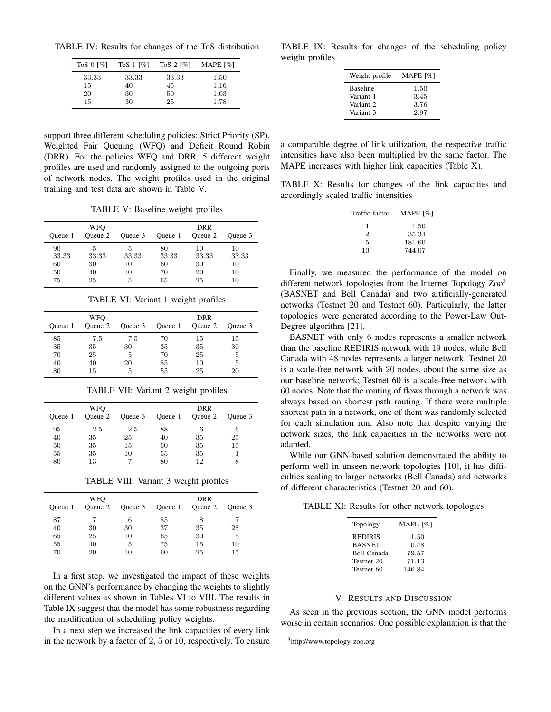TABLE IV: Results for changes of the ToS distribution

| To $\sqrt{8}$ 0 $\sqrt{2}$ | To $S_1$ [%] | To $S$ 2 [%] | MAPE $[\%]$ |
|----------------------------|--------------|--------------|-------------|
| 33.33                      | 33.33        | 33.33        | 1.50        |
| 15                         | 40           | 45           | 1.16        |
| 20                         | 30           | 50           | 1.03        |
| 45                         | 30           | 25           | 1.78        |

support three different scheduling policies: Strict Priority (SP), Weighted Fair Queuing (WFQ) and Deficit Round Robin (DRR). For the policies WFQ and DRR, 5 different weight profiles are used and randomly assigned to the outgoing ports of network nodes. The weight profiles used in the original training and test data are shown in Table V.

TABLE V: Baseline weight profiles

| Oueue 1                       | WFO<br>Queue 2          | Queue 3                     | Queue 1                       | DRR<br>Queue 2                | Oueue 3                       |
|-------------------------------|-------------------------|-----------------------------|-------------------------------|-------------------------------|-------------------------------|
| 90<br>33.33<br>60<br>50<br>75 | 33.33<br>30<br>40<br>25 | 5<br>33.33<br>10<br>10<br>5 | 80<br>33.33<br>60<br>70<br>65 | 10<br>33.33<br>30<br>20<br>25 | 10<br>33.33<br>10<br>10<br>10 |

TABLE VI: Variant 1 weight profiles

| Oueue 1 | <b>WFO</b><br>Queue 2 | Queue 3 | Queue 1 | DRR<br>Queue 2 | Queue 3 |
|---------|-----------------------|---------|---------|----------------|---------|
| 85      | 7.5                   | 7.5     | 70      | 15             | 15      |
| 35      | 35                    | 30      | 35      | 35             | 30      |
| 70      | 25                    | 5       | 70      | 25             | 5       |
| 40      | 40                    | 20      | 85      | 10             | 5       |
| 80      | 15                    | 5       | 55      | 25             | 20      |

TABLE VII: Variant 2 weight profiles

| Oueue 1                    | <b>WFO</b><br>Queue 2       | Queue 3               | Queue 1                    | DRR<br>Queue 2            | Oueue 3  |
|----------------------------|-----------------------------|-----------------------|----------------------------|---------------------------|----------|
| 95<br>40<br>50<br>55<br>80 | 2.5<br>35<br>35<br>35<br>13 | 2.5<br>25<br>15<br>10 | 88<br>40<br>50<br>55<br>80 | 6<br>35<br>35<br>35<br>12 | 25<br>15 |

TABLE VIII: Variant 3 weight profiles

| Oueue 1  | <b>WFO</b><br>Queue 2 | Queue 3 | Queue 1  | DRR<br>Queue 2 | Queue 3  |
|----------|-----------------------|---------|----------|----------------|----------|
| 87<br>40 | 30                    | 30      | 85<br>37 | 35             | 28       |
| 65       | 25                    | 10      | 65       | 30             | 5        |
| 55<br>70 | 40<br>20              | Ð<br>10 | 75<br>60 | 15<br>25       | 10<br>15 |

In a first step, we investigated the impact of these weights on the GNN's performance by changing the weights to slightly different values as shown in Tables VI to VIII. The results in Table IX suggest that the model has some robustness regarding the modification of scheduling policy weights.

In a next step we increased the link capacities of every link in the network by a factor of 2, 5 or 10, respectively. To ensure

TABLE IX: Results for changes of the scheduling policy weight profiles

| Weight profile       | MAPE $[\%]$ |
|----------------------|-------------|
| <b>Baseline</b>      | 1.50        |
| Variant 1            | 3.45        |
| Variant <sub>2</sub> | 3.76        |
| Variant 3            | 2.97        |

a comparable degree of link utilization, the respective traffic intensities have also been multiplied by the same factor. The MAPE increases with higher link capacities (Table X).

TABLE X: Results for changes of the link capacities and accordingly scaled traffic intensities

| Traffic factor | MAPE $[%]$ |
|----------------|------------|
| ı              | 1.50       |
| 2              | 35.34      |
| 5              | 181.60     |
| 10             | 744.07     |

Finally, we measured the performance of the model on different network topologies from the Internet Topology  $Zoo<sup>3</sup>$ (BASNET and Bell Canada) and two artificially-generated networks (Testnet 20 and Testnet 60). Particularly, the latter topologies were generated according to the Power-Law Out-Degree algorithm [21].

BASNET with only 6 nodes represents a smaller network than the baseline REDIRIS network with 19 nodes, while Bell Canada with 48 nodes represents a larger network. Testnet 20 is a scale-free network with 20 nodes, about the same size as our baseline network; Testnet 60 is a scale-free network with 60 nodes. Note that the routing of flows through a network was always based on shortest path routing. If there were multiple shortest path in a network, one of them was randomly selected for each simulation run. Also note that despite varying the network sizes, the link capacities in the networks were not adapted.

While our GNN-based solution demonstrated the ability to perform well in unseen network topologies [10], it has difficulties scaling to larger networks (Bell Canada) and networks of different characteristics (Testnet 20 and 60).

TABLE XI: Results for other network topologies

| Topology           | MAPE $[%]$ |
|--------------------|------------|
| <b>REDIRIS</b>     | 1.50       |
| <b>BASNET</b>      | 0.48       |
| <b>Bell Canada</b> | 79.57      |
| Testnet 20         | 71.13      |
| Testnet 60         | 146.84     |

## V. RESULTS AND DISCUSSION

As seen in the previous section, the GNN model performs worse in certain scenarios. One possible explanation is that the

<sup>3</sup>http://www.topology-zoo.org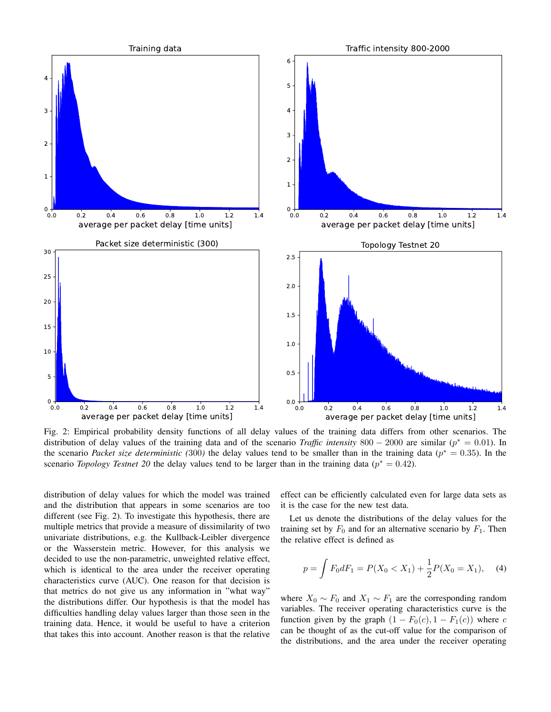

Fig. 2: Empirical probability density functions of all delay values of the training data differs from other scenarios. The distribution of delay values of the training data and of the scenario *Traffic intensity*  $800 - 2000$  are similar ( $p^* = 0.01$ ). In the scenario *Packet size deterministic* (300) the delay values tend to be smaller than in the training data ( $p^* = 0.35$ ). In the scenario *Topology Testnet* 20 the delay values tend to be larger than in the training data ( $p^* = 0.42$ ).

distribution of delay values for which the model was trained and the distribution that appears in some scenarios are too different (see Fig. 2). To investigate this hypothesis, there are multiple metrics that provide a measure of dissimilarity of two univariate distributions, e.g. the Kullback-Leibler divergence or the Wasserstein metric. However, for this analysis we decided to use the non-parametric, unweighted relative effect, which is identical to the area under the receiver operating characteristics curve (AUC). One reason for that decision is that metrics do not give us any information in "what way" the distributions differ. Our hypothesis is that the model has difficulties handling delay values larger than those seen in the training data. Hence, it would be useful to have a criterion that takes this into account. Another reason is that the relative effect can be efficiently calculated even for large data sets as it is the case for the new test data.

Let us denote the distributions of the delay values for the training set by  $F_0$  and for an alternative scenario by  $F_1$ . Then the relative effect is defined as

$$
p = \int F_0 dF_1 = P(X_0 < X_1) + \frac{1}{2}P(X_0 = X_1), \quad (4)
$$

where  $X_0 \sim F_0$  and  $X_1 \sim F_1$  are the corresponding random variables. The receiver operating characteristics curve is the function given by the graph  $(1 - F_0(c), 1 - F_1(c))$  where c can be thought of as the cut-off value for the comparison of the distributions, and the area under the receiver operating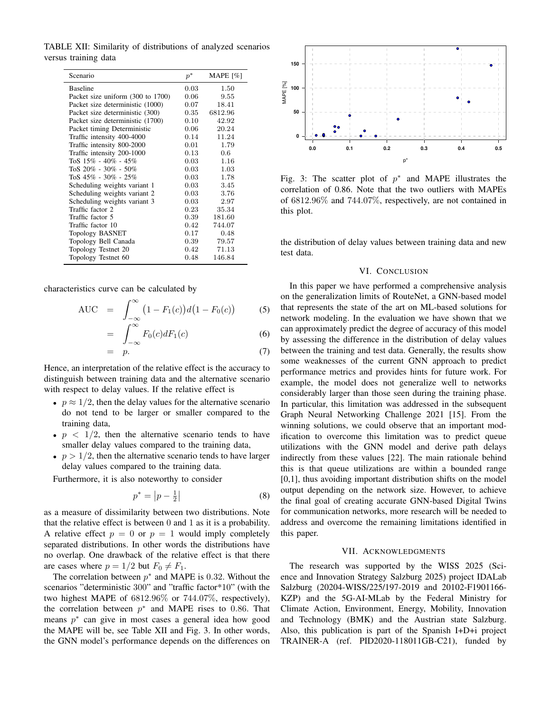TABLE XII: Similarity of distributions of analyzed scenarios versus training data

| Scenario                          | $p^\ast$ | MAPE $[\%]$ |
|-----------------------------------|----------|-------------|
| <b>Baseline</b>                   | 0.03     | 1.50        |
| Packet size uniform (300 to 1700) | 0.06     | 9.55        |
| Packet size deterministic (1000)  | 0.07     | 18.41       |
| Packet size deterministic (300)   | $0.35\,$ | 6812.96     |
| Packet size deterministic (1700)  | 0.10     | 42.92       |
| Packet timing Deterministic       | 0.06     | 20.24       |
| Traffic intensity 400-4000        | 0.14     | 11.24       |
| Traffic intensity 800-2000        | 0.01     | 1.79        |
| Traffic intensity 200-1000        | $0.13\,$ | 0.6         |
| ToS $15\%$ - $40\%$ - $45\%$      | 0.03     | 1.16        |
| ToS $20\%$ - $30\%$ - $50\%$      | 0.03     | 1.03        |
| ToS $45\%$ - $30\%$ - $25\%$      | 0.03     | 1.78        |
| Scheduling weights variant 1      | 0.03     | 3.45        |
| Scheduling weights variant 2      | 0.03     | 3.76        |
| Scheduling weights variant 3      | 0.03     | 2.97        |
| Traffic factor 2                  | 0.23     | 35.34       |
| Traffic factor 5                  | 0.39     | 181.60      |
| Traffic factor 10                 | $0.42\,$ | 744.07      |
| <b>Topology BASNET</b>            | 0.17     | 0.48        |
| Topology Bell Canada              | 0.39     | 79.57       |
| Topology Testnet 20               | 0.42     | 71.13       |
| Topology Testnet 60               | 0.48     | 146.84      |

characteristics curve can be calculated by

AUC = 
$$
\int_{-\infty}^{\infty} (1 - F_1(c)) d(1 - F_0(c))
$$
 (5)

$$
= \int_{-\infty}^{\infty} F_0(c) dF_1(c) \tag{6}
$$

$$
= p. \t\t(7)
$$

Hence, an interpretation of the relative effect is the accuracy to distinguish between training data and the alternative scenario with respect to delay values. If the relative effect is

- $p \approx 1/2$ , then the delay values for the alternative scenario do not tend to be larger or smaller compared to the training data,
- $p \leq 1/2$ , then the alternative scenario tends to have smaller delay values compared to the training data,
- $p > 1/2$ , then the alternative scenario tends to have larger delay values compared to the training data.

Furthermore, it is also noteworthy to consider

$$
p^* = \left| p - \frac{1}{2} \right| \tag{8}
$$

as a measure of dissimilarity between two distributions. Note that the relative effect is between 0 and 1 as it is a probability. A relative effect  $p = 0$  or  $p = 1$  would imply completely separated distributions. In other words the distributions have no overlap. One drawback of the relative effect is that there are cases where  $p = 1/2$  but  $F_0 \neq F_1$ .

The correlation between  $p^*$  and MAPE is 0.32. Without the scenarios "deterministic 300" and "traffic factor\*10" (with the two highest MAPE of 6812.96% or 744.07%, respectively), the correlation between  $p^*$  and MAPE rises to 0.86. That means  $p^*$  can give in most cases a general idea how good the MAPE will be, see Table XII and Fig. 3. In other words, the GNN model's performance depends on the differences on



Fig. 3: The scatter plot of  $p^*$  and MAPE illustrates the correlation of 0.86. Note that the two outliers with MAPEs of 6812.96% and 744.07%, respectively, are not contained in this plot.

the distribution of delay values between training data and new test data.

#### VI. CONCLUSION

In this paper we have performed a comprehensive analysis on the generalization limits of RouteNet, a GNN-based model that represents the state of the art on ML-based solutions for network modeling. In the evaluation we have shown that we can approximately predict the degree of accuracy of this model by assessing the difference in the distribution of delay values between the training and test data. Generally, the results show some weaknesses of the current GNN approach to predict performance metrics and provides hints for future work. For example, the model does not generalize well to networks considerably larger than those seen during the training phase. In particular, this limitation was addressed in the subsequent Graph Neural Networking Challenge 2021 [15]. From the winning solutions, we could observe that an important modification to overcome this limitation was to predict queue utilizations with the GNN model and derive path delays indirectly from these values [22]. The main rationale behind this is that queue utilizations are within a bounded range [0,1], thus avoiding important distribution shifts on the model output depending on the network size. However, to achieve the final goal of creating accurate GNN-based Digital Twins for communication networks, more research will be needed to address and overcome the remaining limitations identified in this paper.

#### VII. ACKNOWLEDGMENTS

The research was supported by the WISS 2025 (Science and Innovation Strategy Salzburg 2025) project IDALab Salzburg (20204-WISS/225/197-2019 and 20102-F1901166- KZP) and the 5G-AI-MLab by the Federal Ministry for Climate Action, Environment, Energy, Mobility, Innovation and Technology (BMK) and the Austrian state Salzburg. Also, this publication is part of the Spanish I+D+i project TRAINER-A (ref. PID2020-118011GB-C21), funded by